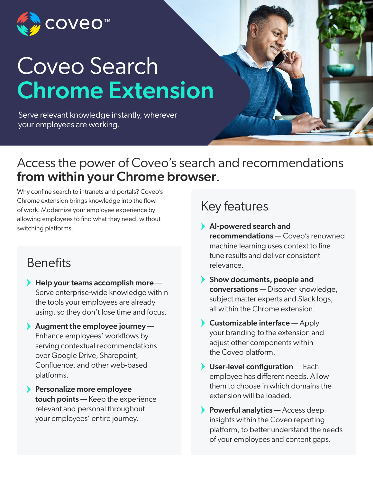

# Coveo Search Chrome Extension

Serve relevant knowledge instantly, wherever your employees are working.

## Access the power of Coveo's search and recommendations **from within your Chrome browser.**<br>Why confine search to intranets and portals? Coveo's

Chrome extension brings knowledge into the flow of work. Modernize your employee experience by allowing employees to find what they need, without switching platforms.

#### **Benefits**

- $\blacktriangleright$  Help your teams accomplish more  $-$ Serve enterprise-wide knowledge within the tools your employees are already using, so they don't lose time and focus.
- Augment the employee journey  $-$ Enhance employees' workflows by serving contextual recommendations over Google Drive, Sharepoint, Confluence, and other web-based platforms.
- **Personalize more employee** touch points — Keep the experience relevant and personal throughout your employees' entire journey.

### Key features

- AI-powered search and recommendations — Coveo's renowned machine learning uses context to fine tune results and deliver consistent relevance.
- Show documents, people and conversations — Discover knowledge, subject matter experts and Slack logs, all within the Chrome extension.
- $\blacktriangleright$  Customizable interface  $-$  Apply your branding to the extension and adjust other components within the Coveo platform.
- $\blacktriangleright$  User-level configuration Each employee has different needs. Allow them to choose in which domains the extension will be loaded.
- Powerful analytics  $-$  Access deep insights within the Coveo reporting platform, to better understand the needs of your employees and content gaps.